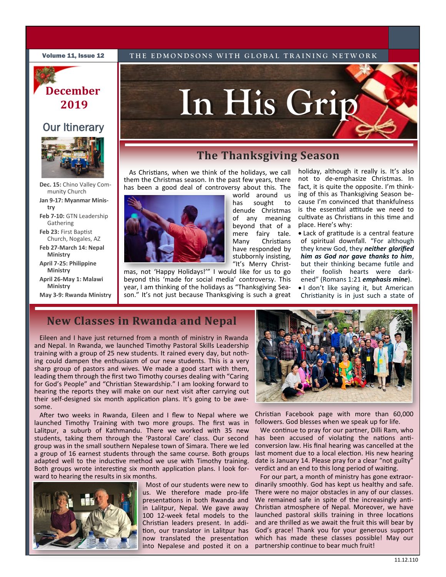**Volume 11, Issue 12** THE EDMONDSONS WITH GLOBAL TRAINING NETWORK

# **December 2019**

### **Our Itinerary**



**Dec. 15:** Chino Valley Community Church

**Jan 9-17: Myanmar Ministry**

**Feb 7-10:** GTN Leadership Gathering

**Feb 23:** First Baptist Church, Nogales, AZ

**Feb 27-March 14: Nepal Ministry**

**April 7-25: Philippine Ministry**

**April 26-May 1: Malawi Ministry**

**May 3-9: Rwanda Ministry**

## **The Thanksgiving Season**

has sought to denude Christmas of any meaning beyond that of a mere fairy tale. Many Christians have responded by stubbornly insisting,

**In His Grip**

As Christians, when we think of the holidays, we call them the Christmas season. In the past few years, there has been a good deal of controversy about this. The world around us



"It's Merry Christmas, not 'Happy Holidays!'" I would like for us to go beyond this 'made for social media' controversy. This year, I am thinking of the holidays as "Thanksgiving Season." It's not just because Thanksgiving is such a great

holiday, although it really is. It's also not to de-emphasize Christmas. In fact, it is quite the opposite. I'm thinking of this as Thanksgiving Season because I'm convinced that thankfulness is the essential attitude we need to cultivate as Christians in this time and place. Here's why:

• Lack of gratitude is a central feature of spiritual downfall. "For although they knew God, they *neither glorified him as God nor gave thanks to him*, but their thinking became futile and their foolish hearts were darkened" (Romans 1:21 *emphasis mine*).

• I don't like saying it, but American Christianity is in just such a state of

## **New Classes in Rwanda and Nepal**

Eileen and I have just returned from a month of ministry in Rwanda and Nepal. In Rwanda, we launched Timothy Pastoral Skills Leadership training with a group of 25 new students. It rained every day, but nothing could dampen the enthusiasm of our new students. This is a very sharp group of pastors and wives. We made a good start with them, leading them through the first two Timothy courses dealing with "Caring for God's People" and "Christian Stewardship." I am looking forward to hearing the reports they will make on our next visit after carrying out their self-designed six month application plans. It's going to be awesome.

After two weeks in Rwanda, Eileen and I flew to Nepal where we launched Timothy Training with two more groups. The first was in Lalitpur, a suburb of Kathmandu. There we worked with 35 new students, taking them through the 'Pastoral Care' class. Our second group was in the small southern Nepalese town of Simara. There we led a group of 16 earnest students through the same course. Both groups adapted well to the inductive method we use with Timothy training. Both groups wrote interesting six month application plans. I look forward to hearing the results in six months.



 Most of our students were new to us. We therefore made pro-life presentations in both Rwanda and in Lalitpur, Nepal. We gave away 100 12-week fetal models to the Christian leaders present. In addition, our translator in Lalitpur has now translated the presentation into Nepalese and posted it on a



Christian Facebook page with more than 60,000 followers. God blesses when we speak up for life.

We continue to pray for our partner, Dilli Ram, who has been accused of violating the nations anticonversion law. His final hearing was cancelled at the last moment due to a local election. His new hearing date is January 14. Please pray for a clear "not guilty" verdict and an end to this long period of waiting.

For our part, a month of ministry has gone extraordinarily smoothly. God has kept us healthy and safe. There were no major obstacles in any of our classes. We remained safe in spite of the increasingly anti-Christian atmosphere of Nepal. Moreover, we have launched pastoral skills training in three locations and are thrilled as we await the fruit this will bear by God's grace! Thank you for your generous support which has made these classes possible! May our partnership continue to bear much fruit!